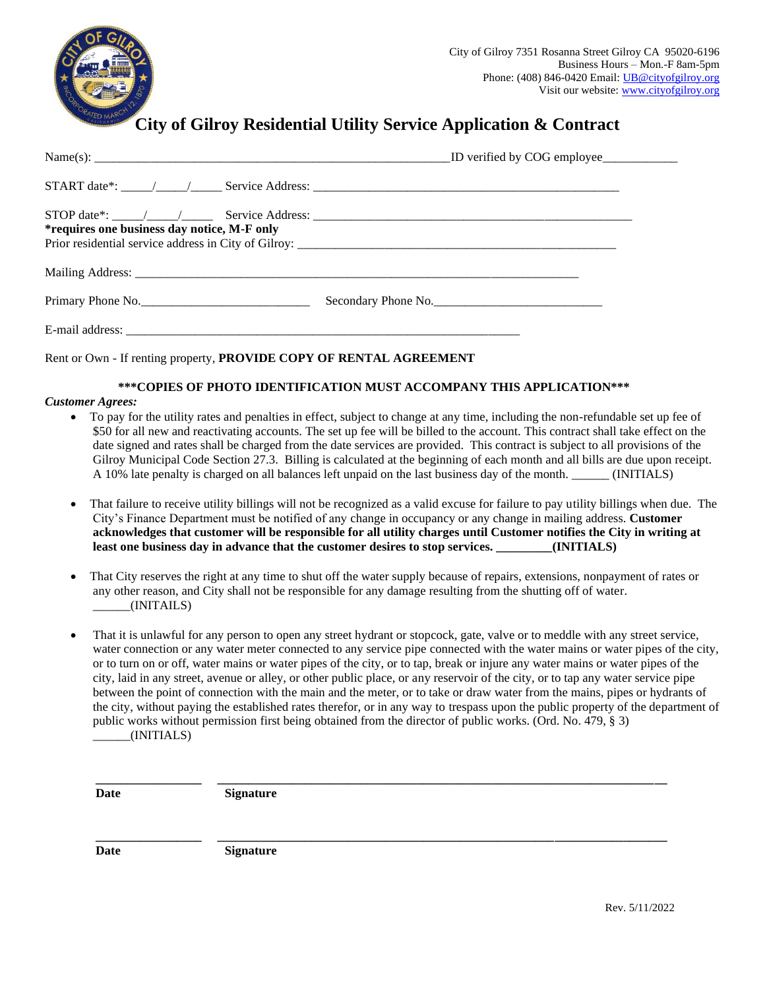

## **City of Gilroy Residential Utility Service Application & Contract**

| *requires one business day notice, M-F only |                     |  |
|---------------------------------------------|---------------------|--|
|                                             |                     |  |
| Primary Phone No.                           | Secondary Phone No. |  |
|                                             |                     |  |

Rent or Own - If renting property, **PROVIDE COPY OF RENTAL AGREEMENT**

## **\*\*\*COPIES OF PHOTO IDENTIFICATION MUST ACCOMPANY THIS APPLICATION\*\*\***

## *Customer Agrees:*

- To pay for the utility rates and penalties in effect, subject to change at any time, including the non-refundable set up fee of \$50 for all new and reactivating accounts. The set up fee will be billed to the account. This contract shall take effect on the date signed and rates shall be charged from the date services are provided. This contract is subject to all provisions of the Gilroy Municipal Code Section 27.3. Billing is calculated at the beginning of each month and all bills are due upon receipt. A 10% late penalty is charged on all balances left unpaid on the last business day of the month. \_\_\_\_\_\_ (INITIALS)
- That failure to receive utility billings will not be recognized as a valid excuse for failure to pay utility billings when due. The City's Finance Department must be notified of any change in occupancy or any change in mailing address. **Customer acknowledges that customer will be responsible for all utility charges until Customer notifies the City in writing at least one business day in advance that the customer desires to stop services. \_\_\_\_\_\_\_\_\_(INITIALS)**
- That City reserves the right at any time to shut off the water supply because of repairs, extensions, nonpayment of rates or any other reason, and City shall not be responsible for any damage resulting from the shutting off of water.  $_{\text{UNITALS}}$
- That it is unlawful for any person to open any street hydrant or stopcock, gate, valve or to meddle with any street service, water connection or any water meter connected to any service pipe connected with the water mains or water pipes of the city, or to turn on or off, water mains or water pipes of the city, or to tap, break or injure any water mains or water pipes of the city, laid in any street, avenue or alley, or other public place, or any reservoir of the city, or to tap any water service pipe between the point of connection with the main and the meter, or to take or draw water from the mains, pipes or hydrants of the city, without paying the established rates therefor, or in any way to trespass upon the public property of the department of public works without permission first being obtained from the director of public works. (Ord. No. 479, § 3)  $_{\_}$ (INITIALS)

**\_\_\_\_\_\_\_\_\_\_\_\_\_\_\_\_\_ \_\_\_\_\_\_\_\_\_\_\_\_\_\_\_\_\_\_\_\_\_\_\_\_\_\_\_\_\_\_\_\_\_\_\_\_\_\_\_\_\_\_\_\_\_\_\_\_\_\_\_\_\_\_\_\_\_\_\_\_\_\_\_\_\_\_\_\_\_\_\_\_**

**\_\_\_\_\_\_\_\_\_\_\_\_\_\_\_\_\_ \_\_\_\_\_\_\_\_\_\_\_\_\_\_\_\_\_\_\_\_\_\_\_\_\_\_\_\_\_\_\_\_\_\_\_\_\_\_\_\_\_\_\_\_\_\_\_\_\_\_\_\_\_\_\_\_\_\_\_\_\_\_\_\_\_\_\_\_\_\_\_\_**

**Date Signature**

**Date Signature**